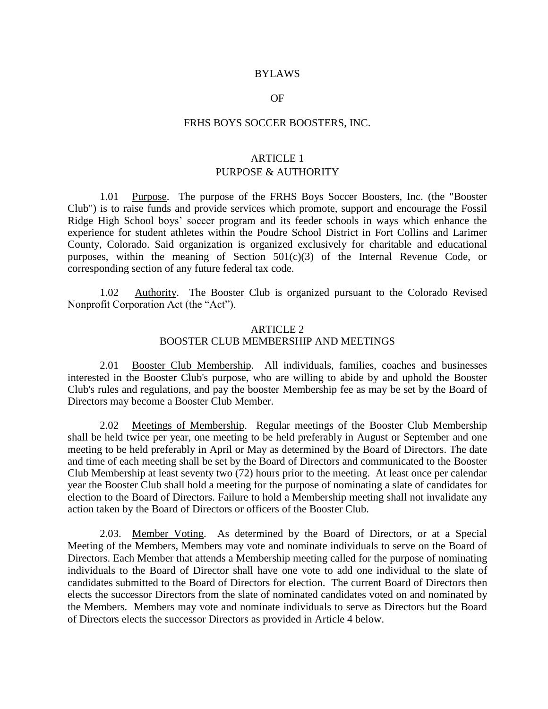#### BYLAWS

#### OF

#### FRHS BOYS SOCCER BOOSTERS, INC.

# ARTICLE 1 PURPOSE & AUTHORITY

1.01 Purpose. The purpose of the FRHS Boys Soccer Boosters, Inc. (the "Booster Club") is to raise funds and provide services which promote, support and encourage the Fossil Ridge High School boys' soccer program and its feeder schools in ways which enhance the experience for student athletes within the Poudre School District in Fort Collins and Larimer County, Colorado. Said organization is organized exclusively for charitable and educational purposes, within the meaning of Section  $501(c)(3)$  of the Internal Revenue Code, or corresponding section of any future federal tax code.

1.02 Authority. The Booster Club is organized pursuant to the Colorado Revised Nonprofit Corporation Act (the "Act").

## ARTICLE 2 BOOSTER CLUB MEMBERSHIP AND MEETINGS

2.01 Booster Club Membership. All individuals, families, coaches and businesses interested in the Booster Club's purpose, who are willing to abide by and uphold the Booster Club's rules and regulations, and pay the booster Membership fee as may be set by the Board of Directors may become a Booster Club Member.

2.02 Meetings of Membership. Regular meetings of the Booster Club Membership shall be held twice per year, one meeting to be held preferably in August or September and one meeting to be held preferably in April or May as determined by the Board of Directors. The date and time of each meeting shall be set by the Board of Directors and communicated to the Booster Club Membership at least seventy two (72) hours prior to the meeting. At least once per calendar year the Booster Club shall hold a meeting for the purpose of nominating a slate of candidates for election to the Board of Directors. Failure to hold a Membership meeting shall not invalidate any action taken by the Board of Directors or officers of the Booster Club.

2.03. Member Voting. As determined by the Board of Directors, or at a Special Meeting of the Members, Members may vote and nominate individuals to serve on the Board of Directors. Each Member that attends a Membership meeting called for the purpose of nominating individuals to the Board of Director shall have one vote to add one individual to the slate of candidates submitted to the Board of Directors for election. The current Board of Directors then elects the successor Directors from the slate of nominated candidates voted on and nominated by the Members. Members may vote and nominate individuals to serve as Directors but the Board of Directors elects the successor Directors as provided in Article 4 below.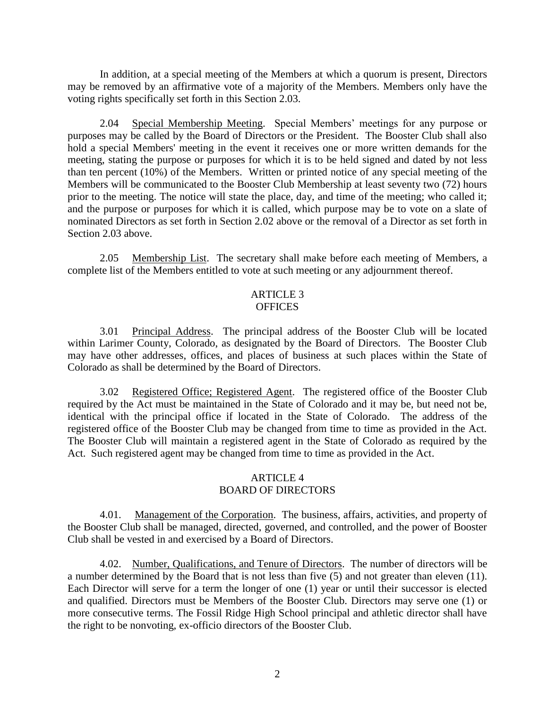In addition, at a special meeting of the Members at which a quorum is present, Directors may be removed by an affirmative vote of a majority of the Members. Members only have the voting rights specifically set forth in this Section 2.03.

2.04 Special Membership Meeting. Special Members' meetings for any purpose or purposes may be called by the Board of Directors or the President. The Booster Club shall also hold a special Members' meeting in the event it receives one or more written demands for the meeting, stating the purpose or purposes for which it is to be held signed and dated by not less than ten percent (10%) of the Members. Written or printed notice of any special meeting of the Members will be communicated to the Booster Club Membership at least seventy two (72) hours prior to the meeting. The notice will state the place, day, and time of the meeting; who called it; and the purpose or purposes for which it is called, which purpose may be to vote on a slate of nominated Directors as set forth in Section 2.02 above or the removal of a Director as set forth in Section 2.03 above.

2.05 Membership List. The secretary shall make before each meeting of Members, a complete list of the Members entitled to vote at such meeting or any adjournment thereof.

#### ARTICLE 3 **OFFICES**

3.01 Principal Address. The principal address of the Booster Club will be located within Larimer County, Colorado, as designated by the Board of Directors. The Booster Club may have other addresses, offices, and places of business at such places within the State of Colorado as shall be determined by the Board of Directors.

3.02 Registered Office; Registered Agent. The registered office of the Booster Club required by the Act must be maintained in the State of Colorado and it may be, but need not be, identical with the principal office if located in the State of Colorado. The address of the registered office of the Booster Club may be changed from time to time as provided in the Act. The Booster Club will maintain a registered agent in the State of Colorado as required by the Act. Such registered agent may be changed from time to time as provided in the Act.

## ARTICLE 4 BOARD OF DIRECTORS

4.01. Management of the Corporation. The business, affairs, activities, and property of the Booster Club shall be managed, directed, governed, and controlled, and the power of Booster Club shall be vested in and exercised by a Board of Directors.

4.02. Number, Qualifications, and Tenure of Directors. The number of directors will be a number determined by the Board that is not less than five (5) and not greater than eleven (11). Each Director will serve for a term the longer of one (1) year or until their successor is elected and qualified. Directors must be Members of the Booster Club. Directors may serve one (1) or more consecutive terms. The Fossil Ridge High School principal and athletic director shall have the right to be nonvoting, ex-officio directors of the Booster Club.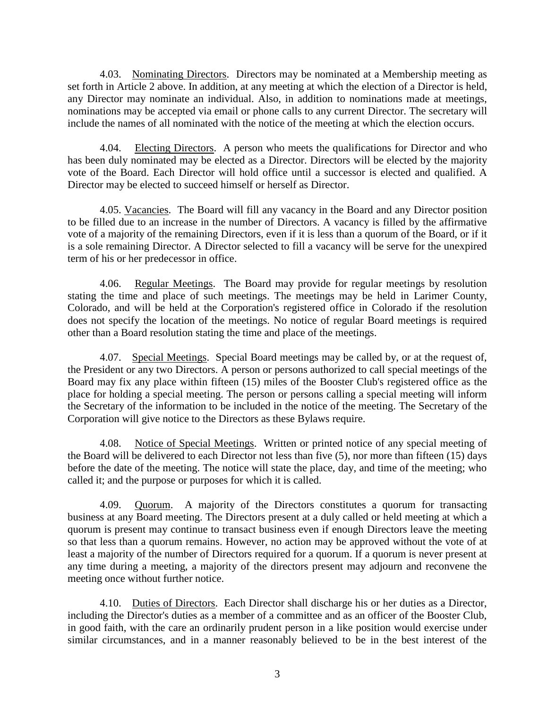4.03. Nominating Directors. Directors may be nominated at a Membership meeting as set forth in Article 2 above. In addition, at any meeting at which the election of a Director is held, any Director may nominate an individual. Also, in addition to nominations made at meetings, nominations may be accepted via email or phone calls to any current Director. The secretary will include the names of all nominated with the notice of the meeting at which the election occurs.

4.04. Electing Directors. A person who meets the qualifications for Director and who has been duly nominated may be elected as a Director. Directors will be elected by the majority vote of the Board. Each Director will hold office until a successor is elected and qualified. A Director may be elected to succeed himself or herself as Director.

4.05. Vacancies. The Board will fill any vacancy in the Board and any Director position to be filled due to an increase in the number of Directors. A vacancy is filled by the affirmative vote of a majority of the remaining Directors, even if it is less than a quorum of the Board, or if it is a sole remaining Director. A Director selected to fill a vacancy will be serve for the unexpired term of his or her predecessor in office.

4.06. Regular Meetings. The Board may provide for regular meetings by resolution stating the time and place of such meetings. The meetings may be held in Larimer County, Colorado, and will be held at the Corporation's registered office in Colorado if the resolution does not specify the location of the meetings. No notice of regular Board meetings is required other than a Board resolution stating the time and place of the meetings.

4.07. Special Meetings. Special Board meetings may be called by, or at the request of, the President or any two Directors. A person or persons authorized to call special meetings of the Board may fix any place within fifteen (15) miles of the Booster Club's registered office as the place for holding a special meeting. The person or persons calling a special meeting will inform the Secretary of the information to be included in the notice of the meeting. The Secretary of the Corporation will give notice to the Directors as these Bylaws require.

4.08. Notice of Special Meetings. Written or printed notice of any special meeting of the Board will be delivered to each Director not less than five (5), nor more than fifteen (15) days before the date of the meeting. The notice will state the place, day, and time of the meeting; who called it; and the purpose or purposes for which it is called.

4.09. Quorum. A majority of the Directors constitutes a quorum for transacting business at any Board meeting. The Directors present at a duly called or held meeting at which a quorum is present may continue to transact business even if enough Directors leave the meeting so that less than a quorum remains. However, no action may be approved without the vote of at least a majority of the number of Directors required for a quorum. If a quorum is never present at any time during a meeting, a majority of the directors present may adjourn and reconvene the meeting once without further notice.

4.10. Duties of Directors. Each Director shall discharge his or her duties as a Director, including the Director's duties as a member of a committee and as an officer of the Booster Club, in good faith, with the care an ordinarily prudent person in a like position would exercise under similar circumstances, and in a manner reasonably believed to be in the best interest of the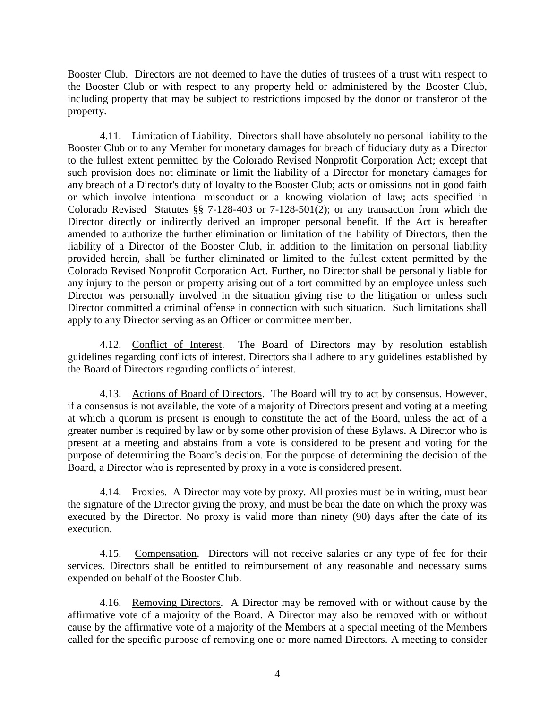Booster Club. Directors are not deemed to have the duties of trustees of a trust with respect to the Booster Club or with respect to any property held or administered by the Booster Club, including property that may be subject to restrictions imposed by the donor or transferor of the property.

4.11. Limitation of Liability. Directors shall have absolutely no personal liability to the Booster Club or to any Member for monetary damages for breach of fiduciary duty as a Director to the fullest extent permitted by the Colorado Revised Nonprofit Corporation Act; except that such provision does not eliminate or limit the liability of a Director for monetary damages for any breach of a Director's duty of loyalty to the Booster Club; acts or omissions not in good faith or which involve intentional misconduct or a knowing violation of law; acts specified in Colorado Revised Statutes §§ 7-128-403 or 7-128-501(2); or any transaction from which the Director directly or indirectly derived an improper personal benefit. If the Act is hereafter amended to authorize the further elimination or limitation of the liability of Directors, then the liability of a Director of the Booster Club, in addition to the limitation on personal liability provided herein, shall be further eliminated or limited to the fullest extent permitted by the Colorado Revised Nonprofit Corporation Act. Further, no Director shall be personally liable for any injury to the person or property arising out of a tort committed by an employee unless such Director was personally involved in the situation giving rise to the litigation or unless such Director committed a criminal offense in connection with such situation. Such limitations shall apply to any Director serving as an Officer or committee member.

4.12. Conflict of Interest. The Board of Directors may by resolution establish guidelines regarding conflicts of interest. Directors shall adhere to any guidelines established by the Board of Directors regarding conflicts of interest.

4.13. Actions of Board of Directors. The Board will try to act by consensus. However, if a consensus is not available, the vote of a majority of Directors present and voting at a meeting at which a quorum is present is enough to constitute the act of the Board, unless the act of a greater number is required by law or by some other provision of these Bylaws. A Director who is present at a meeting and abstains from a vote is considered to be present and voting for the purpose of determining the Board's decision. For the purpose of determining the decision of the Board, a Director who is represented by proxy in a vote is considered present.

4.14. Proxies. A Director may vote by proxy. All proxies must be in writing, must bear the signature of the Director giving the proxy, and must be bear the date on which the proxy was executed by the Director. No proxy is valid more than ninety (90) days after the date of its execution.

4.15. Compensation. Directors will not receive salaries or any type of fee for their services. Directors shall be entitled to reimbursement of any reasonable and necessary sums expended on behalf of the Booster Club.

4.16. Removing Directors. A Director may be removed with or without cause by the affirmative vote of a majority of the Board. A Director may also be removed with or without cause by the affirmative vote of a majority of the Members at a special meeting of the Members called for the specific purpose of removing one or more named Directors. A meeting to consider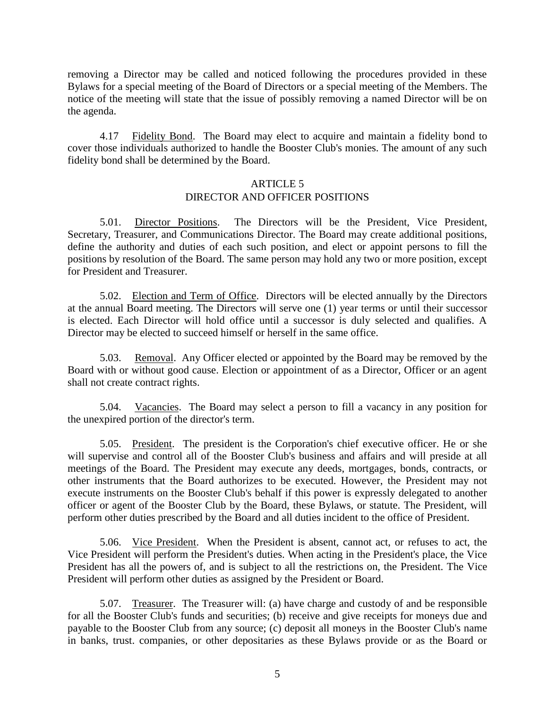removing a Director may be called and noticed following the procedures provided in these Bylaws for a special meeting of the Board of Directors or a special meeting of the Members. The notice of the meeting will state that the issue of possibly removing a named Director will be on the agenda.

4.17 Fidelity Bond. The Board may elect to acquire and maintain a fidelity bond to cover those individuals authorized to handle the Booster Club's monies. The amount of any such fidelity bond shall be determined by the Board.

#### ARTICLE 5

# DIRECTOR AND OFFICER POSITIONS

5.01. Director Positions. The Directors will be the President, Vice President, Secretary, Treasurer, and Communications Director. The Board may create additional positions, define the authority and duties of each such position, and elect or appoint persons to fill the positions by resolution of the Board. The same person may hold any two or more position, except for President and Treasurer.

5.02. Election and Term of Office. Directors will be elected annually by the Directors at the annual Board meeting. The Directors will serve one (1) year terms or until their successor is elected. Each Director will hold office until a successor is duly selected and qualifies. A Director may be elected to succeed himself or herself in the same office.

5.03. Removal. Any Officer elected or appointed by the Board may be removed by the Board with or without good cause. Election or appointment of as a Director, Officer or an agent shall not create contract rights.

5.04. Vacancies. The Board may select a person to fill a vacancy in any position for the unexpired portion of the director's term.

5.05. President. The president is the Corporation's chief executive officer. He or she will supervise and control all of the Booster Club's business and affairs and will preside at all meetings of the Board. The President may execute any deeds, mortgages, bonds, contracts, or other instruments that the Board authorizes to be executed. However, the President may not execute instruments on the Booster Club's behalf if this power is expressly delegated to another officer or agent of the Booster Club by the Board, these Bylaws, or statute. The President, will perform other duties prescribed by the Board and all duties incident to the office of President.

5.06. Vice President. When the President is absent, cannot act, or refuses to act, the Vice President will perform the President's duties. When acting in the President's place, the Vice President has all the powers of, and is subject to all the restrictions on, the President. The Vice President will perform other duties as assigned by the President or Board.

5.07. Treasurer. The Treasurer will: (a) have charge and custody of and be responsible for all the Booster Club's funds and securities; (b) receive and give receipts for moneys due and payable to the Booster Club from any source; (c) deposit all moneys in the Booster Club's name in banks, trust. companies, or other depositaries as these Bylaws provide or as the Board or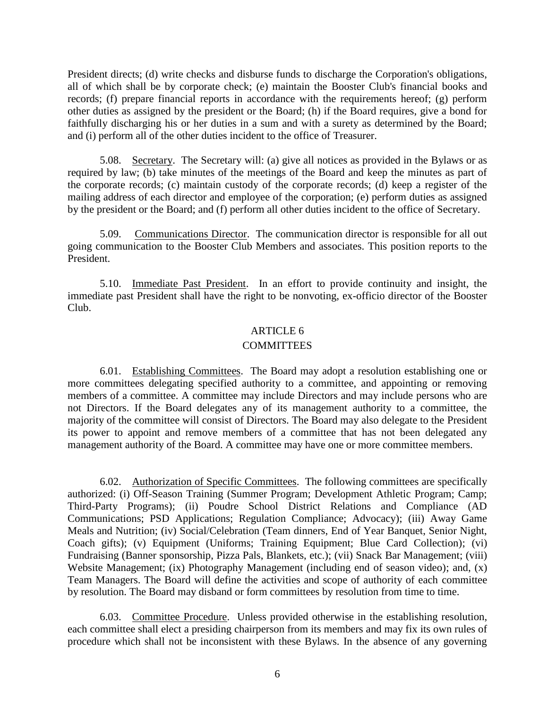President directs; (d) write checks and disburse funds to discharge the Corporation's obligations, all of which shall be by corporate check; (e) maintain the Booster Club's financial books and records; (f) prepare financial reports in accordance with the requirements hereof; (g) perform other duties as assigned by the president or the Board; (h) if the Board requires, give a bond for faithfully discharging his or her duties in a sum and with a surety as determined by the Board; and (i) perform all of the other duties incident to the office of Treasurer.

5.08. Secretary. The Secretary will: (a) give all notices as provided in the Bylaws or as required by law; (b) take minutes of the meetings of the Board and keep the minutes as part of the corporate records; (c) maintain custody of the corporate records; (d) keep a register of the mailing address of each director and employee of the corporation; (e) perform duties as assigned by the president or the Board; and (f) perform all other duties incident to the office of Secretary.

5.09. Communications Director. The communication director is responsible for all out going communication to the Booster Club Members and associates. This position reports to the President.

5.10. Immediate Past President. In an effort to provide continuity and insight, the immediate past President shall have the right to be nonvoting, ex-officio director of the Booster Club.

### ARTICLE 6

#### **COMMITTEES**

6.01. Establishing Committees. The Board may adopt a resolution establishing one or more committees delegating specified authority to a committee, and appointing or removing members of a committee. A committee may include Directors and may include persons who are not Directors. If the Board delegates any of its management authority to a committee, the majority of the committee will consist of Directors. The Board may also delegate to the President its power to appoint and remove members of a committee that has not been delegated any management authority of the Board. A committee may have one or more committee members.

6.02. Authorization of Specific Committees. The following committees are specifically authorized: (i) Off-Season Training (Summer Program; Development Athletic Program; Camp; Third-Party Programs); (ii) Poudre School District Relations and Compliance (AD Communications; PSD Applications; Regulation Compliance; Advocacy); (iii) Away Game Meals and Nutrition; (iv) Social/Celebration (Team dinners, End of Year Banquet, Senior Night, Coach gifts); (v) Equipment (Uniforms; Training Equipment; Blue Card Collection); (vi) Fundraising (Banner sponsorship, Pizza Pals, Blankets, etc.); (vii) Snack Bar Management; (viii) Website Management; (ix) Photography Management (including end of season video); and, (x) Team Managers. The Board will define the activities and scope of authority of each committee by resolution. The Board may disband or form committees by resolution from time to time.

6.03. Committee Procedure. Unless provided otherwise in the establishing resolution, each committee shall elect a presiding chairperson from its members and may fix its own rules of procedure which shall not be inconsistent with these Bylaws. In the absence of any governing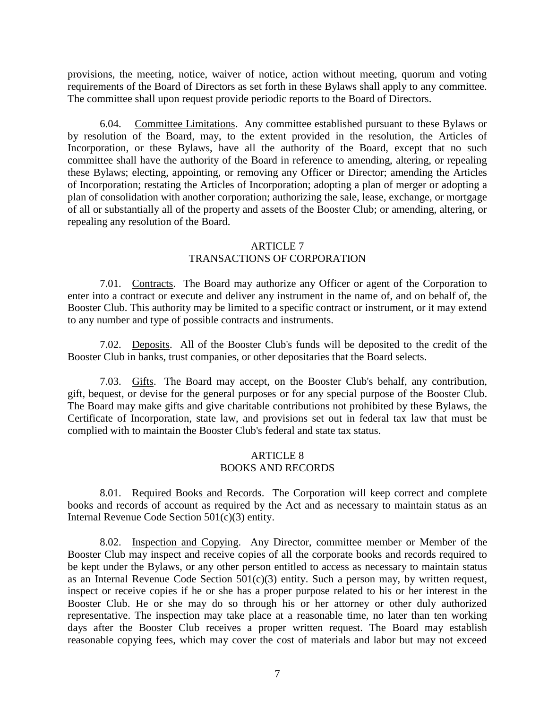provisions, the meeting, notice, waiver of notice, action without meeting, quorum and voting requirements of the Board of Directors as set forth in these Bylaws shall apply to any committee. The committee shall upon request provide periodic reports to the Board of Directors.

6.04. Committee Limitations. Any committee established pursuant to these Bylaws or by resolution of the Board, may, to the extent provided in the resolution, the Articles of Incorporation, or these Bylaws, have all the authority of the Board, except that no such committee shall have the authority of the Board in reference to amending, altering, or repealing these Bylaws; electing, appointing, or removing any Officer or Director; amending the Articles of Incorporation; restating the Articles of Incorporation; adopting a plan of merger or adopting a plan of consolidation with another corporation; authorizing the sale, lease, exchange, or mortgage of all or substantially all of the property and assets of the Booster Club; or amending, altering, or repealing any resolution of the Board.

## ARTICLE 7 TRANSACTIONS OF CORPORATION

7.01. Contracts. The Board may authorize any Officer or agent of the Corporation to enter into a contract or execute and deliver any instrument in the name of, and on behalf of, the Booster Club. This authority may be limited to a specific contract or instrument, or it may extend to any number and type of possible contracts and instruments.

7.02. Deposits. All of the Booster Club's funds will be deposited to the credit of the Booster Club in banks, trust companies, or other depositaries that the Board selects.

7.03. Gifts. The Board may accept, on the Booster Club's behalf, any contribution, gift, bequest, or devise for the general purposes or for any special purpose of the Booster Club. The Board may make gifts and give charitable contributions not prohibited by these Bylaws, the Certificate of Incorporation, state law, and provisions set out in federal tax law that must be complied with to maintain the Booster Club's federal and state tax status.

## ARTICLE 8 BOOKS AND RECORDS

8.01. Required Books and Records. The Corporation will keep correct and complete books and records of account as required by the Act and as necessary to maintain status as an Internal Revenue Code Section 501(c)(3) entity.

8.02. Inspection and Copying. Any Director, committee member or Member of the Booster Club may inspect and receive copies of all the corporate books and records required to be kept under the Bylaws, or any other person entitled to access as necessary to maintain status as an Internal Revenue Code Section  $501(c)(3)$  entity. Such a person may, by written request, inspect or receive copies if he or she has a proper purpose related to his or her interest in the Booster Club. He or she may do so through his or her attorney or other duly authorized representative. The inspection may take place at a reasonable time, no later than ten working days after the Booster Club receives a proper written request. The Board may establish reasonable copying fees, which may cover the cost of materials and labor but may not exceed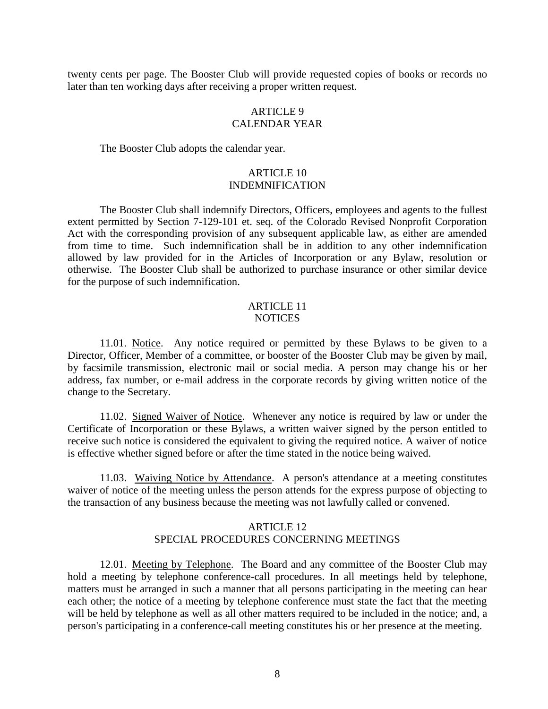twenty cents per page. The Booster Club will provide requested copies of books or records no later than ten working days after receiving a proper written request.

## ARTICLE 9 CALENDAR YEAR

The Booster Club adopts the calendar year.

## ARTICLE 10 INDEMNIFICATION

The Booster Club shall indemnify Directors, Officers, employees and agents to the fullest extent permitted by Section 7-129-101 et. seq. of the Colorado Revised Nonprofit Corporation Act with the corresponding provision of any subsequent applicable law, as either are amended from time to time. Such indemnification shall be in addition to any other indemnification allowed by law provided for in the Articles of Incorporation or any Bylaw, resolution or otherwise. The Booster Club shall be authorized to purchase insurance or other similar device for the purpose of such indemnification.

#### ARTICLE 11 NOTICES

11.01. Notice. Any notice required or permitted by these Bylaws to be given to a Director, Officer, Member of a committee, or booster of the Booster Club may be given by mail, by facsimile transmission, electronic mail or social media. A person may change his or her address, fax number, or e-mail address in the corporate records by giving written notice of the change to the Secretary.

11.02. Signed Waiver of Notice. Whenever any notice is required by law or under the Certificate of Incorporation or these Bylaws, a written waiver signed by the person entitled to receive such notice is considered the equivalent to giving the required notice. A waiver of notice is effective whether signed before or after the time stated in the notice being waived.

11.03. Waiving Notice by Attendance. A person's attendance at a meeting constitutes waiver of notice of the meeting unless the person attends for the express purpose of objecting to the transaction of any business because the meeting was not lawfully called or convened.

## ARTICLE 12 SPECIAL PROCEDURES CONCERNING MEETINGS

12.01. Meeting by Telephone. The Board and any committee of the Booster Club may hold a meeting by telephone conference-call procedures. In all meetings held by telephone, matters must be arranged in such a manner that all persons participating in the meeting can hear each other; the notice of a meeting by telephone conference must state the fact that the meeting will be held by telephone as well as all other matters required to be included in the notice; and, a person's participating in a conference-call meeting constitutes his or her presence at the meeting.